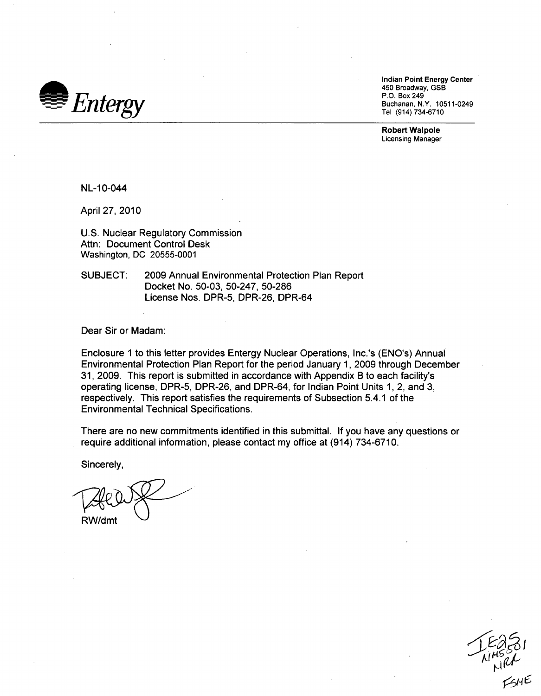

Indian Point Energy Center 450 Broadway, GSB Tel (914) 734-6710

Robert Walpole Licensing Manager

NL-10-044

April 27, 2010

U.S. Nuclear Regulatory Commission Attn: Document Control Desk Washington, DC 20555-0001

SUBJECT: 2009 Annual Environmental Protection Plan Report Docket No. 50-03, 50-247, 50-286 License Nos. DPR-5, DPR-26, DPR-64

Dear Sir or Madam:

Enclosure 1 to this letter provides Entergy Nuclear Operations, Inc.'s (ENO's) Annual Environmental Protection Plan Report for the period January 1, 2009 through December 31, 2009. This report is submitted in accordance with Appendix B to each facility's operating license, DPR-5, DPR-26, and DPR-64, for Indian Point Units 1, 2, and 3, respectively. This report satisfies the requirements of Subsection 5.4.1 of the Environmental Technical Specifications.

There are no new commitments identified in this submittal. If you have any questions or require additional information, please contact my office at (914) 734-6710.

Sincerely,

RW/dmt

**<905m6**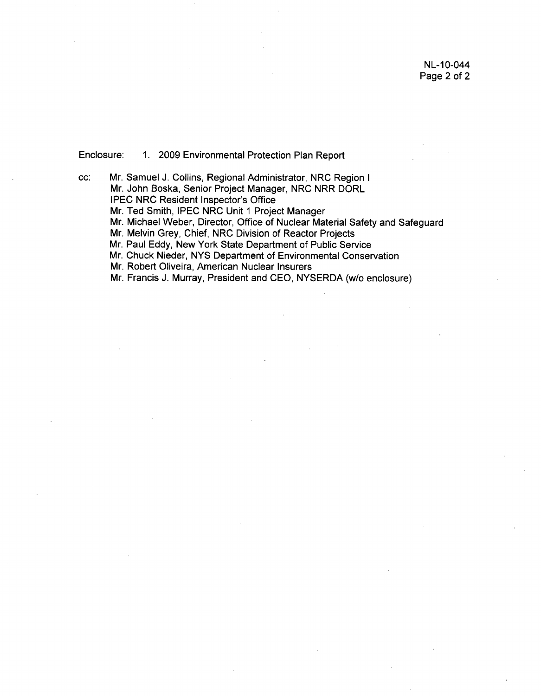Enclosure: 1. 2009 Environmental Protection Plan Report

cc: Mr. Samuel J. Collins, Regional Administrator, NRC Region I Mr. John Boska, Senior Project Manager, NRC NRR DORL IPEC NRC Resident Inspector's Office Mr. Ted Smith, IPEC NRC Unit 1 Project Manager Mr. Michael Weber, Director, Office of Nuclear Material Safety and Safeguard Mr. Melvin Grey, Chief, NRC Division of Reactor Projects Mr. Paul Eddy, New York State Department of Public Service Mr. Chuck Nieder, NYS Department of Environmental Conservation Mr. Robert Oliveira, American Nuclear Insurers Mr. Francis J. Murray, President and CEO, NYSERDA (w/o enclosure)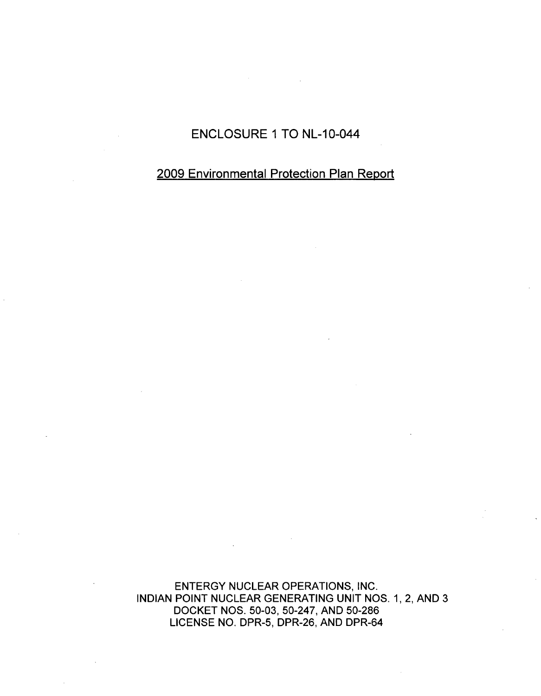# ENCLOSURE 1 TO NL-10-044

## 2009 Environmental Protection Plan Report

ENTERGY NUCLEAR OPERATIONS, INC. INDIAN POINT NUCLEAR GENERATING UNIT NOS. 1, 2, AND 3 DOCKET NOS. 50-03, 50-247, AND 50-286 LICENSE NO. DPR-5, DPR-26, AND DPR-64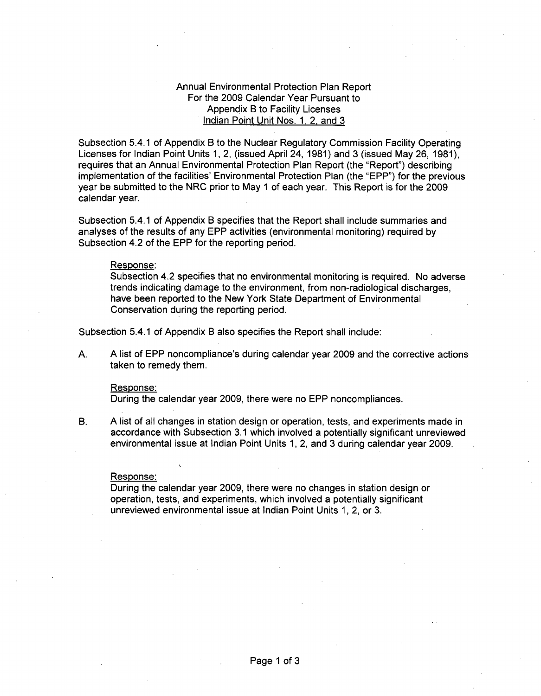## Annual Environmental Protection Plan Report For the 2009 Calendar Year Pursuant to Appendix B to Facility Licenses Indian Point Unit Nos. **1,** 2, and 3

Subsection 5.4.1 of Appendix B to the Nuclear Regulatory Commission Facility Operating Licenses for Indian Point Units 1, 2, (issued April 24, 1981) and 3 (issued May 26, 1981), requires that an Annual Environmental Protection Plan Report (the "Report") describing implementation of the facilities' Environmental Protection Plan (the "EPP") for the previous year be submitted to the NRC prior to May 1 of each year. This Report is for the 2009 calendar year.

Subsection 5.4.1 of Appendix B specifies that the Report shall include summaries and analyses of the results of any EPP activities (environmental monitoring) required by Subsection 4.2 of the EPP for the reporting period.

#### Response:

Subsection 4.2 specifies that no environmental monitoring is required. No adverse trends indicating damage to the environment, from non-radiological discharges, have been reported to the New York State Department of Environmental Conservation during the reporting period.

Subsection 5.4.1 of Appendix B also specifies the Report shall include:

A. A list of EPP noncompliance's during calendar year 2009 and the corrective actions taken to remedy them.

#### Response:

During the calendar year 2009, there were no EPP noncompliances.

B. A list of all changes in station design or operation, tests, and experiments made in accordance with Subsection 3.1 which involved a potentially significant unreviewed environmental issue at Indian Point Units 1, 2, and 3 during calendar year 2009.

#### Response:

During the calendar year 2009, there were no changes in station design or operation, tests, and experiments, which involved a potentially significant unreviewed environmental issue at Indian Point Units 1, 2, or 3.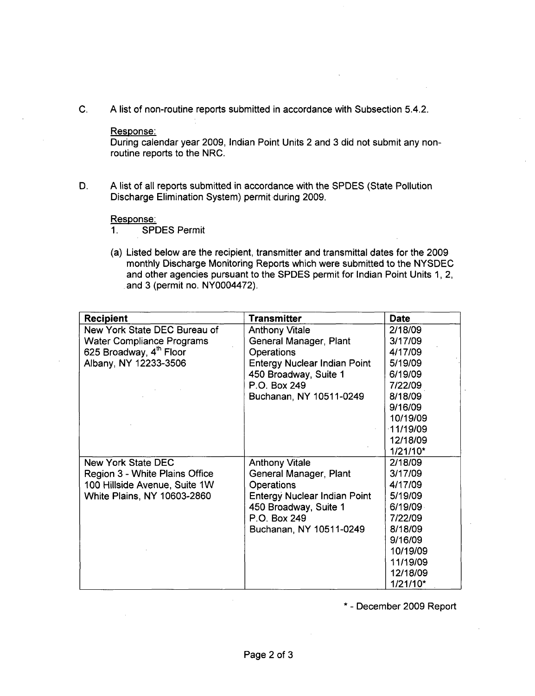C. A list of non-routine reports submitted in accordance with Subsection 5.4.2.

## Response:

During calendar year 2009, Indian Point Units 2 and 3 did not submit any nonroutine reports to the NRC.

D. A list of all reports submitted in accordance with the SPDES (State Pollution Discharge Elimination System) permit during 2009.

### Response:

1. SPDES Permit

(a) Listed below are the recipient, transmitter and transmittal dates for the 2009 monthly Discharge Monitoring Reports which were submitted to the NYSDEC and other agencies pursuant to the SPDES permit for Indian Point Units 1, 2, and 3 (permit no. NY0004472).

| <b>Recipient</b>                    | <b>Transmitter</b>                  | <b>Date</b> |
|-------------------------------------|-------------------------------------|-------------|
| New York State DEC Bureau of        | <b>Anthony Vitale</b>               | 2/18/09     |
| <b>Water Compliance Programs</b>    | General Manager, Plant              | 3/17/09     |
| 625 Broadway, 4 <sup>th</sup> Floor | Operations                          | 4/17/09     |
| Albany, NY 12233-3506               | <b>Entergy Nuclear Indian Point</b> | 5/19/09     |
|                                     | 450 Broadway, Suite 1               | 6/19/09     |
|                                     | P.O. Box 249                        | 7/22/09     |
|                                     | Buchanan, NY 10511-0249             | 8/18/09     |
|                                     |                                     | 9/16/09     |
|                                     |                                     | 10/19/09    |
|                                     |                                     | $-11/19/09$ |
|                                     |                                     | 12/18/09    |
|                                     |                                     | $1/21/10*$  |
| <b>New York State DEC</b>           | <b>Anthony Vitale</b>               | 2/18/09     |
| Region 3 - White Plains Office      | General Manager, Plant              | 3/17/09     |
| 100 Hillside Avenue, Suite 1W       | <b>Operations</b>                   | 4/17/09     |
| White Plains, NY 10603-2860         | <b>Entergy Nuclear Indian Point</b> | 5/19/09     |
|                                     | 450 Broadway, Suite 1               | 6/19/09     |
|                                     | P.O. Box 249                        | 7/22/09     |
|                                     | Buchanan, NY 10511-0249             | 8/18/09     |
|                                     |                                     | 9/16/09     |
|                                     |                                     | 10/19/09    |
|                                     |                                     | 11/19/09    |
|                                     |                                     | 12/18/09    |
|                                     |                                     | 1/21/10*    |

\* - December 2009 Report